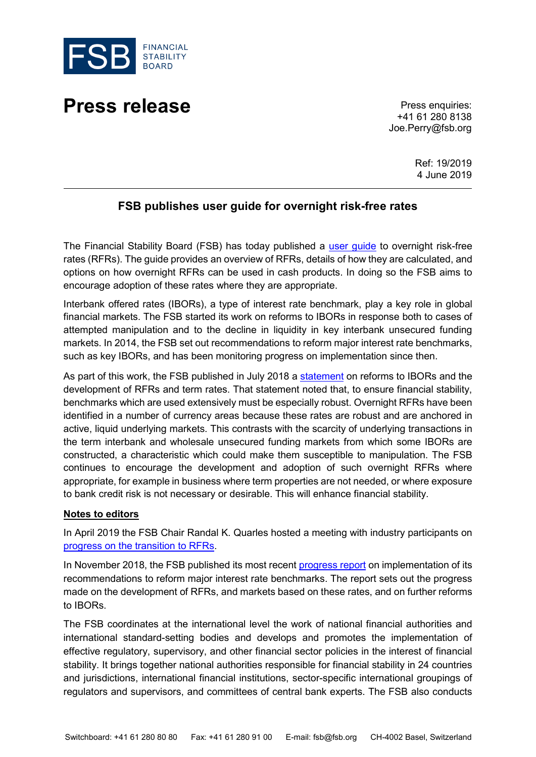

## **Press release** Press enquiries:

+41 61 280 8138 Joe.Perry@fsb.org

> Ref: 19/2019 4 June 2019

## **FSB publishes user guide for overnight risk-free rates**

The Financial Stability Board (FSB) has today published a user quide to overnight risk-free rates (RFRs). The guide provides an overview of RFRs, details of how they are calculated, and options on how overnight RFRs can be used in cash products. In doing so the FSB aims to encourage adoption of these rates where they are appropriate.

Interbank offered rates (IBORs), a type of interest rate benchmark, play a key role in global financial markets. The FSB started its work on reforms to IBORs in response both to cases of attempted manipulation and to the decline in liquidity in key interbank unsecured funding markets. In 2014, the FSB set out recommendations to reform major interest rate benchmarks, such as key IBORs, and has been monitoring progress on implementation since then.

As part of this work, the FSB published in July 2018 a [statement](https://www.fsb.org/2018/07/fsb-issues-statement-on-reforms-to-interest-rate-benchmarks/) on reforms to IBORs and the development of RFRs and term rates. That statement noted that, to ensure financial stability, benchmarks which are used extensively must be especially robust. Overnight RFRs have been identified in a number of currency areas because these rates are robust and are anchored in active, liquid underlying markets. This contrasts with the scarcity of underlying transactions in the term interbank and wholesale unsecured funding markets from which some IBORs are constructed, a characteristic which could make them susceptible to manipulation. The FSB continues to encourage the development and adoption of such overnight RFRs where appropriate, for example in business where term properties are not needed, or where exposure to bank credit risk is not necessary or desirable. This will enhance financial stability.

## **Notes to editors**

In April 2019 the FSB Chair Randal K. Quarles hosted a meeting with industry participants on [progress on the transition to RFRs.](https://www.fsb.org/2019/04/progress-on-the-transition-to-risk-free-rates/)

In November 2018, the FSB published its most recent [progress report](https://www.fsb.org/2018/11/reforming-major-interest-rate-benchmarks-progress-report/) on implementation of its recommendations to reform major interest rate benchmarks. The report sets out the progress made on the development of RFRs, and markets based on these rates, and on further reforms to IBORs.

The FSB coordinates at the international level the work of national financial authorities and international standard-setting bodies and develops and promotes the implementation of effective regulatory, supervisory, and other financial sector policies in the interest of financial stability. It brings together national authorities responsible for financial stability in 24 countries and jurisdictions, international financial institutions, sector-specific international groupings of regulators and supervisors, and committees of central bank experts. The FSB also conducts